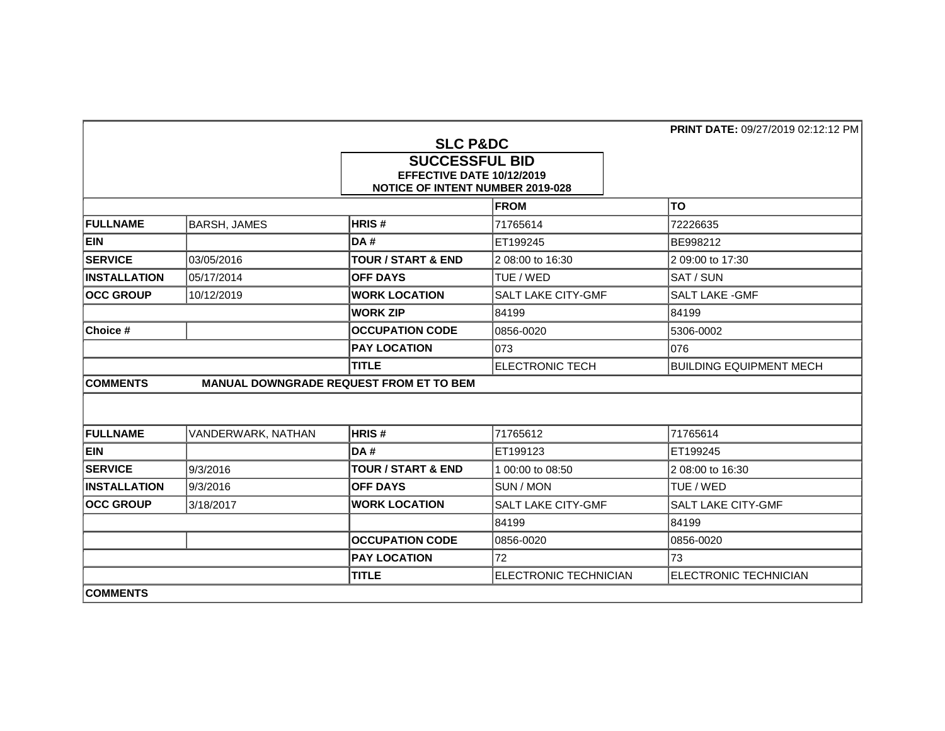|                     |                     | <b>SLC P&amp;DC</b><br><b>SUCCESSFUL BID</b><br>EFFECTIVE DATE 10/12/2019<br><b>NOTICE OF INTENT NUMBER 2019-028</b> | <b>PRINT DATE: 09/27/2019 02:12:12 PM</b> |                                |
|---------------------|---------------------|----------------------------------------------------------------------------------------------------------------------|-------------------------------------------|--------------------------------|
|                     |                     |                                                                                                                      | <b>FROM</b>                               | <b>TO</b>                      |
| <b>FULLNAME</b>     | <b>BARSH, JAMES</b> | HRIS#                                                                                                                | 71765614                                  | 72226635                       |
| <b>EIN</b>          |                     | DA#                                                                                                                  | ET199245                                  | BE998212                       |
| <b>SERVICE</b>      | 03/05/2016          | <b>TOUR / START &amp; END</b>                                                                                        | 2 08:00 to 16:30                          | 2 09:00 to 17:30               |
| <b>INSTALLATION</b> | 05/17/2014          | <b>OFF DAYS</b>                                                                                                      | TUE / WED                                 | SAT / SUN                      |
| <b>OCC GROUP</b>    | 10/12/2019          | <b>WORK LOCATION</b>                                                                                                 | SALT LAKE CITY-GMF                        | <b>SALT LAKE - GMF</b>         |
|                     |                     | <b>WORK ZIP</b>                                                                                                      | 84199                                     | 84199                          |
| Choice #            |                     | <b>OCCUPATION CODE</b>                                                                                               | 0856-0020                                 | 5306-0002                      |
|                     |                     | <b>PAY LOCATION</b>                                                                                                  | 073                                       | 076                            |
|                     |                     | <b>TITLE</b>                                                                                                         | <b>ELECTRONIC TECH</b>                    | <b>BUILDING EQUIPMENT MECH</b> |
| <b>COMMENTS</b>     |                     | MANUAL DOWNGRADE REQUEST FROM ET TO BEM                                                                              |                                           |                                |
|                     |                     |                                                                                                                      |                                           |                                |
| <b>FULLNAME</b>     | VANDERWARK, NATHAN  | HRIS#                                                                                                                | 71765612                                  | 71765614                       |
| <b>EIN</b>          |                     | DA#                                                                                                                  | ET199123                                  | ET199245                       |
| <b>SERVICE</b>      | 9/3/2016            | <b>TOUR / START &amp; END</b>                                                                                        | 1 00:00 to 08:50                          | 2 08:00 to 16:30               |
| <b>INSTALLATION</b> | 9/3/2016            | <b>OFF DAYS</b>                                                                                                      | SUN / MON                                 | TUE / WED                      |
| <b>OCC GROUP</b>    | 3/18/2017           | <b>WORK LOCATION</b>                                                                                                 | SALT LAKE CITY-GMF                        | <b>SALT LAKE CITY-GMF</b>      |
|                     |                     |                                                                                                                      | 84199                                     | 84199                          |
|                     |                     | <b>OCCUPATION CODE</b>                                                                                               | 0856-0020                                 | 0856-0020                      |
|                     |                     | <b>PAY LOCATION</b>                                                                                                  | 72                                        | 73                             |
|                     |                     | <b>TITLE</b>                                                                                                         | <b>ELECTRONIC TECHNICIAN</b>              | <b>ELECTRONIC TECHNICIAN</b>   |
| <b>COMMENTS</b>     |                     |                                                                                                                      |                                           |                                |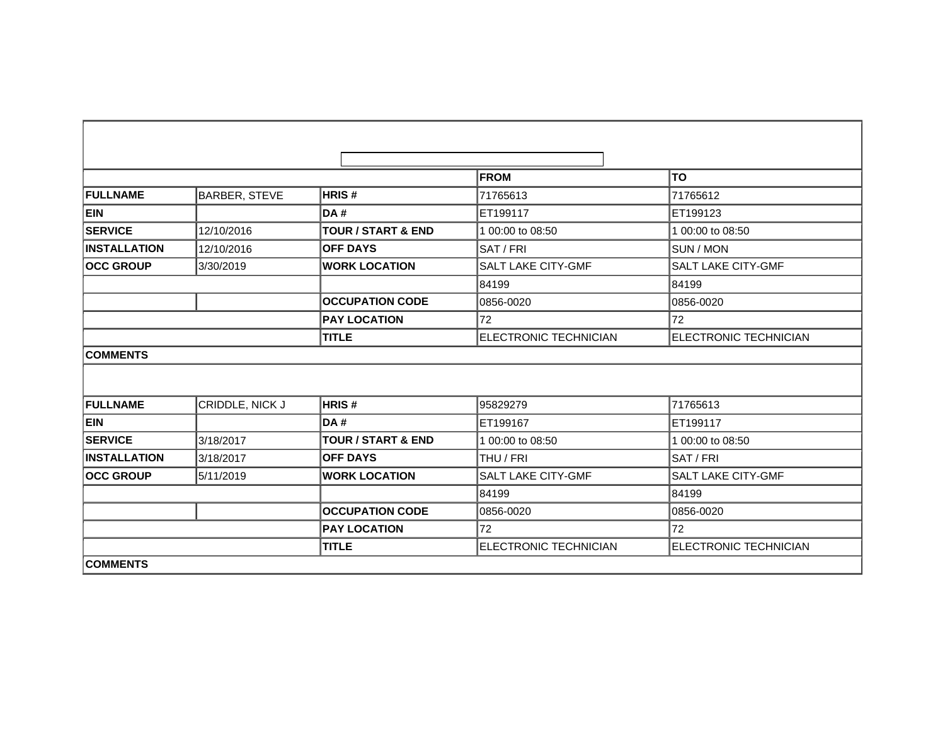|                     |                 |                               | <b>FROM</b>                  | <b>TO</b>                    |
|---------------------|-----------------|-------------------------------|------------------------------|------------------------------|
| <b>FULLNAME</b>     | BARBER, STEVE   | <b>HRIS#</b>                  | 71765613                     | 71765612                     |
| <b>EIN</b>          |                 | DA#                           | ET199117                     | ET199123                     |
|                     |                 |                               |                              |                              |
| <b>SERVICE</b>      | 12/10/2016      | <b>TOUR / START &amp; END</b> | 1 00:00 to 08:50             | 1 00:00 to 08:50             |
| <b>INSTALLATION</b> | 12/10/2016      | <b>OFF DAYS</b>               | SAT / FRI                    | <b>SUN / MON</b>             |
| <b>OCC GROUP</b>    | 3/30/2019       | <b>WORK LOCATION</b>          | SALT LAKE CITY-GMF           | SALT LAKE CITY-GMF           |
|                     |                 |                               | 84199                        | 84199                        |
|                     |                 | <b>OCCUPATION CODE</b>        | 0856-0020                    | 0856-0020                    |
|                     |                 | <b>PAY LOCATION</b>           | 72                           | 72                           |
|                     |                 | <b>TITLE</b>                  | <b>ELECTRONIC TECHNICIAN</b> | <b>ELECTRONIC TECHNICIAN</b> |
| <b>COMMENTS</b>     |                 |                               |                              |                              |
|                     |                 |                               |                              |                              |
|                     |                 |                               |                              |                              |
| FULLNAME            | CRIDDLE, NICK J | <b>HRIS#</b>                  | 95829279                     | 71765613                     |
| <b>EIN</b>          |                 | <b>DA#</b>                    | ET199167                     | ET199117                     |
| <b>SERVICE</b>      | 3/18/2017       | <b>TOUR / START &amp; END</b> | 1 00:00 to 08:50             | 1 00:00 to 08:50             |
| <b>INSTALLATION</b> | 3/18/2017       | <b>OFF DAYS</b>               | THU / FRI                    | SAT / FRI                    |
| <b>OCC GROUP</b>    | 5/11/2019       | <b>WORK LOCATION</b>          | SALT LAKE CITY-GMF           | <b>SALT LAKE CITY-GMF</b>    |
|                     |                 |                               | 84199                        | 84199                        |
|                     |                 | <b>OCCUPATION CODE</b>        | 0856-0020                    | 0856-0020                    |
|                     |                 | <b>PAY LOCATION</b>           | 72                           | 72                           |
|                     |                 | <b>TITLE</b>                  | <b>ELECTRONIC TECHNICIAN</b> | <b>ELECTRONIC TECHNICIAN</b> |
| <b>COMMENTS</b>     |                 |                               |                              |                              |